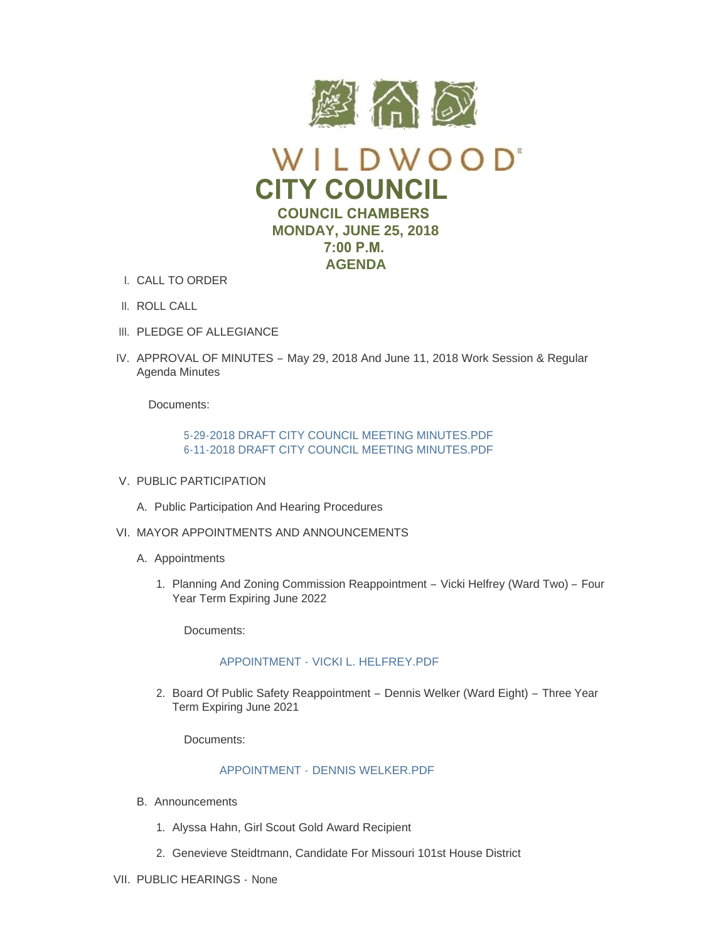

- CALL TO ORDER I.
- II. ROLL CALL
- III. PLEDGE OF ALLEGIANCE
- IV. APPROVAL OF MINUTES May 29, 2018 And June 11, 2018 Work Session & Regular Agenda Minutes

Documents:

[5-29-2018 DRAFT CITY COUNCIL MEETING MINUTES.PDF](https://www.cityofwildwood.com/AgendaCenter/ViewFile/Item/16086?fileID=23642) [6-11-2018 DRAFT CITY COUNCIL MEETING MINUTES.PDF](https://www.cityofwildwood.com/AgendaCenter/ViewFile/Item/16086?fileID=23643)

- V. PUBLIC PARTICIPATION
	- A. Public Participation And Hearing Procedures
- VI. MAYOR APPOINTMENTS AND ANNOUNCEMENTS
	- A. Appointments
		- 1. Planning And Zoning Commission Reappointment Vicki Helfrey (Ward Two) Four Year Term Expiring June 2022

Documents:

#### APPOINTMENT - [VICKI L. HELFREY.PDF](https://www.cityofwildwood.com/AgendaCenter/ViewFile/Item/16009?fileID=23640)

2. Board Of Public Safety Reappointment - Dennis Welker (Ward Eight) - Three Year Term Expiring June 2021

Documents:

### APPOINTMENT - [DENNIS WELKER.PDF](https://www.cityofwildwood.com/AgendaCenter/ViewFile/Item/16010?fileID=23639)

- Announcements B.
	- 1. Alyssa Hahn, Girl Scout Gold Award Recipient
	- Genevieve Steidtmann, Candidate For Missouri 101st House District 2.
- VII. PUBLIC HEARINGS None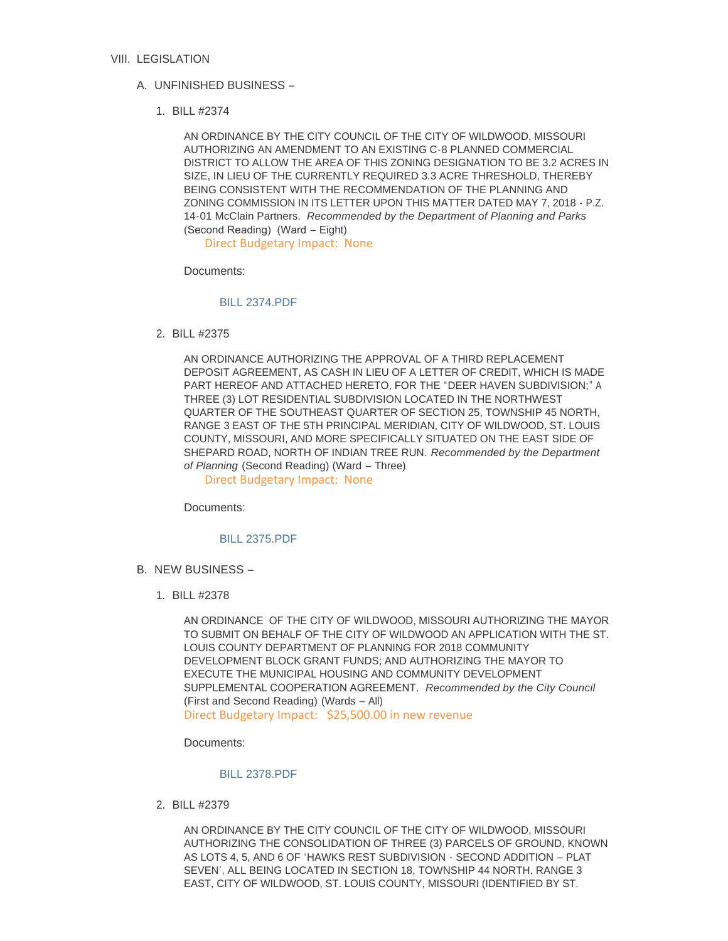#### VIII. LEGISLATION

### UNFINISHED BUSINESS – A.

BILL #2374 1.

AN ORDINANCE BY THE CITY COUNCIL OF THE CITY OF WILDWOOD, MISSOURI AUTHORIZING AN AMENDMENT TO AN EXISTING C-8 PLANNED COMMERCIAL DISTRICT TO ALLOW THE AREA OF THIS ZONING DESIGNATION TO BE 3.2 ACRES IN SIZE, IN LIEU OF THE CURRENTLY REQUIRED 3.3 ACRE THRESHOLD, THEREBY BEING CONSISTENT WITH THE RECOMMENDATION OF THE PLANNING AND ZONING COMMISSION IN ITS LETTER UPON THIS MATTER DATED MAY 7, 2018 - P.Z. 14-01 McClain Partners. *Recommended by the Department of Planning and Parks*  (Second Reading) (Ward – Eight)

Direct Budgetary Impact: None

Documents:

#### [BILL 2374.PDF](https://www.cityofwildwood.com/AgendaCenter/ViewFile/Item/16017?fileID=23603)

BILL #2375 2.

AN ORDINANCE AUTHORIZING THE APPROVAL OF A THIRD REPLACEMENT DEPOSIT AGREEMENT, AS CASH IN LIEU OF A LETTER OF CREDIT, WHICH IS MADE PART HEREOF AND ATTACHED HERETO, FOR THE "DEER HAVEN SUBDIVISION;" A THREE (3) LOT RESIDENTIAL SUBDIVISION LOCATED IN THE NORTHWEST QUARTER OF THE SOUTHEAST QUARTER OF SECTION 25, TOWNSHIP 45 NORTH, RANGE 3 EAST OF THE 5TH PRINCIPAL MERIDIAN, CITY OF WILDWOOD, ST. LOUIS COUNTY, MISSOURI, AND MORE SPECIFICALLY SITUATED ON THE EAST SIDE OF SHEPARD ROAD, NORTH OF INDIAN TREE RUN. *Recommended by the Department of Planning* (Second Reading) (Ward – Three)

Direct Budgetary Impact: None

Documents:

#### [BILL 2375.PDF](https://www.cityofwildwood.com/AgendaCenter/ViewFile/Item/16018?fileID=23604)

- B. NEW BUSINESS
	- BILL #2378 1.

AN ORDINANCE OF THE CITY OF WILDWOOD, MISSOURI AUTHORIZING THE MAYOR TO SUBMIT ON BEHALF OF THE CITY OF WILDWOOD AN APPLICATION WITH THE ST. LOUIS COUNTY DEPARTMENT OF PLANNING FOR 2018 COMMUNITY DEVELOPMENT BLOCK GRANT FUNDS; AND AUTHORIZING THE MAYOR TO EXECUTE THE MUNICIPAL HOUSING AND COMMUNITY DEVELOPMENT SUPPLEMENTAL COOPERATION AGREEMENT. *Recommended by the City Council*  (First and Second Reading) (Wards – All) Direct Budgetary Impact: \$25,500.00 in new revenue

Documents:

#### [BILL 2378.PDF](https://www.cityofwildwood.com/AgendaCenter/ViewFile/Item/16020?fileID=23636)

BILL #2379 2.

AN ORDINANCE BY THE CITY COUNCIL OF THE CITY OF WILDWOOD, MISSOURI AUTHORIZING THE CONSOLIDATION OF THREE (3) PARCELS OF GROUND, KNOWN AS LOTS 4, 5, AND 6 OF 'HAWKS REST SUBDIVISION - SECOND ADDITION – PLAT SEVEN', ALL BEING LOCATED IN SECTION 18, TOWNSHIP 44 NORTH, RANGE 3 EAST, CITY OF WILDWOOD, ST. LOUIS COUNTY, MISSOURI (IDENTIFIED BY ST.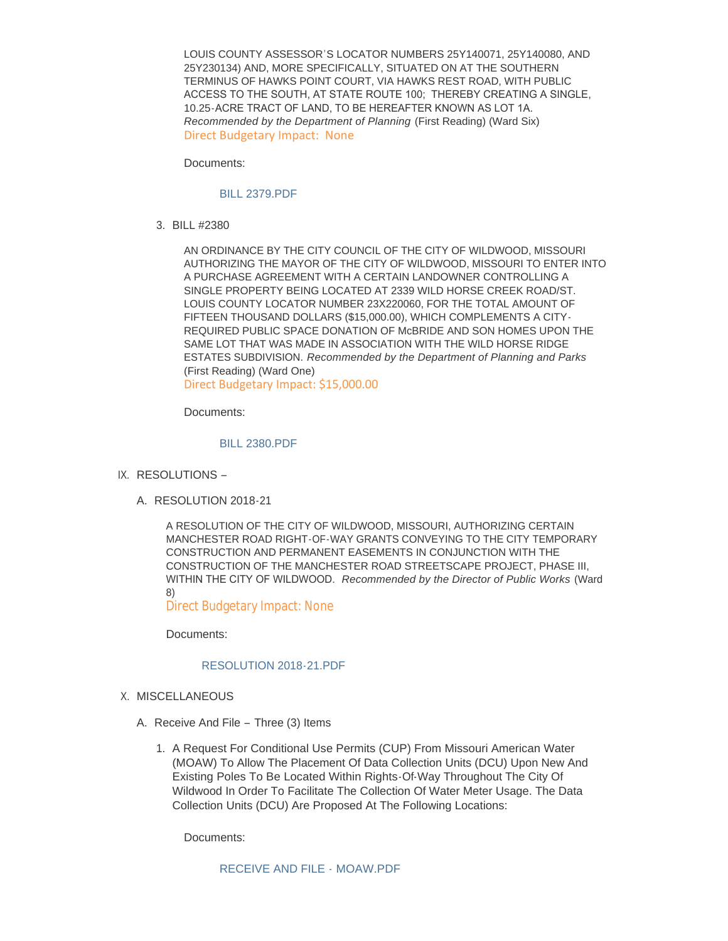LOUIS COUNTY ASSESSOR'S LOCATOR NUMBERS 25Y140071, 25Y140080, AND 25Y230134) AND, MORE SPECIFICALLY, SITUATED ON AT THE SOUTHERN TERMINUS OF HAWKS POINT COURT, VIA HAWKS REST ROAD, WITH PUBLIC ACCESS TO THE SOUTH, AT STATE ROUTE 100; THEREBY CREATING A SINGLE, 10.25-ACRE TRACT OF LAND, TO BE HEREAFTER KNOWN AS LOT 1A. *Recommended by the Department of Planning* (First Reading) (Ward Six) Direct Budgetary Impact: None

Documents:

#### [BILL 2379.PDF](https://www.cityofwildwood.com/AgendaCenter/ViewFile/Item/16021?fileID=23605)

BILL #2380 3.

AN ORDINANCE BY THE CITY COUNCIL OF THE CITY OF WILDWOOD, MISSOURI AUTHORIZING THE MAYOR OF THE CITY OF WILDWOOD, MISSOURI TO ENTER INTO A PURCHASE AGREEMENT WITH A CERTAIN LANDOWNER CONTROLLING A SINGLE PROPERTY BEING LOCATED AT 2339 WILD HORSE CREEK ROAD/ST. LOUIS COUNTY LOCATOR NUMBER 23X220060, FOR THE TOTAL AMOUNT OF FIFTEEN THOUSAND DOLLARS (\$15,000.00), WHICH COMPLEMENTS A CITY-REQUIRED PUBLIC SPACE DONATION OF McBRIDE AND SON HOMES UPON THE SAME LOT THAT WAS MADE IN ASSOCIATION WITH THE WILD HORSE RIDGE ESTATES SUBDIVISION. *Recommended by the Department of Planning and Parks*  (First Reading) (Ward One)

Direct Budgetary Impact: \$15,000.00

Documents:

#### [BILL 2380.PDF](https://www.cityofwildwood.com/AgendaCenter/ViewFile/Item/16022?fileID=23606)

- IX. RESOLUTIONS
	- A. RESOLUTION 2018-21

A RESOLUTION OF THE CITY OF WILDWOOD, MISSOURI, AUTHORIZING CERTAIN MANCHESTER ROAD RIGHT-OF-WAY GRANTS CONVEYING TO THE CITY TEMPORARY CONSTRUCTION AND PERMANENT EASEMENTS IN CONJUNCTION WITH THE CONSTRUCTION OF THE MANCHESTER ROAD STREETSCAPE PROJECT, PHASE III, WITHIN THE CITY OF WILDWOOD. *Recommended by the Director of Public Works* (Ward 8)

Direct Budgetary Impact: None

Documents:

### [RESOLUTION 2018-21.PDF](https://www.cityofwildwood.com/AgendaCenter/ViewFile/Item/16024?fileID=23637)

- X. MISCELLANEOUS
	- A. Receive And File Three (3) Items
		- 1. A Request For Conditional Use Permits (CUP) From Missouri American Water (MOAW) To Allow The Placement Of Data Collection Units (DCU) Upon New And Existing Poles To Be Located Within Rights-Of-Way Throughout The City Of Wildwood In Order To Facilitate The Collection Of Water Meter Usage. The Data Collection Units (DCU) Are Proposed At The Following Locations:

Documents: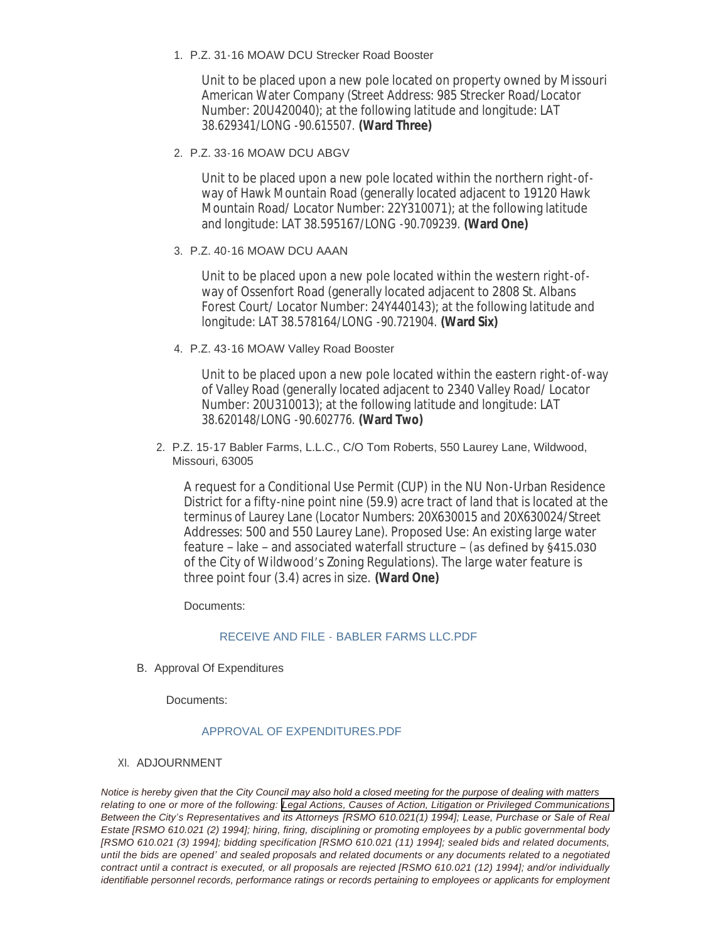# P.Z. 31-16 MOAW DCU Strecker Road Booster 1.

Unit to be placed upon a new pole located on property owned by Missouri American Water Company (Street Address: 985 Strecker Road/Locator Number: 20U420040); at the following latitude and longitude: LAT 38.629341/LONG -90.615507. **(Ward Three)**

# P.Z. 33-16 MOAW DCU ABGV 2.

Unit to be placed upon a new pole located within the northern right-ofway of Hawk Mountain Road (generally located adjacent to 19120 Hawk Mountain Road/ Locator Number: 22Y310071); at the following latitude and longitude: LAT 38.595167/LONG -90.709239. **(Ward One)**

# P.Z. 40-16 MOAW DCU AAAN 3.

Unit to be placed upon a new pole located within the western right-ofway of Ossenfort Road (generally located adjacent to 2808 St. Albans Forest Court/ Locator Number: 24Y440143); at the following latitude and longitude: LAT 38.578164/LONG -90.721904. **(Ward Six)**

# P.Z. 43-16 MOAW Valley Road Booster 4.

Unit to be placed upon a new pole located within the eastern right-of-way of Valley Road (generally located adjacent to 2340 Valley Road/ Locator Number: 20U310013); at the following latitude and longitude: LAT 38.620148/LONG -90.602776. **(Ward Two)**

## 2. P.Z. 15-17 Babler Farms, L.L.C., C/O Tom Roberts, 550 Laurey Lane, Wildwood, Missouri, 63005

A request for a Conditional Use Permit (CUP) in the NU Non-Urban Residence District for a fifty-nine point nine (59.9) acre tract of land that is located at the terminus of Laurey Lane (Locator Numbers: 20X630015 and 20X630024/Street Addresses: 500 and 550 Laurey Lane). Proposed Use: An existing large water feature – lake – and associated waterfall structure – (as defined by §415.030 of the City of Wildwood's Zoning Regulations). The large water feature is three point four (3.4) acres in size. **(Ward One)**

Documents:

## RECEIVE AND FILE - [BABLER FARMS LLC.PDF](https://www.cityofwildwood.com/AgendaCenter/ViewFile/Item/16032?fileID=23608)

B. Approval Of Expenditures

Documents:

### [APPROVAL OF EXPENDITURES.PDF](https://www.cityofwildwood.com/AgendaCenter/ViewFile/Item/16033?fileID=23609)

### XI. ADJOURNMENT

*Notice is hereby given that the City Council may also hold a closed meeting for the purpose of dealing with matters relating to one or more of the following: Legal Actions, Causes of Action, Litigation or Privileged Communications Between the City's Representatives and its Attorneys [RSMO 610.021(1) 1994]; Lease, Purchase or Sale of Real Estate [RSMO 610.021 (2) 1994]; hiring, firing, disciplining or promoting employees by a public governmental body [RSMO 610.021 (3) 1994]; bidding specification [RSMO 610.021 (11) 1994]; sealed bids and related documents, until the bids are opened' and sealed proposals and related documents or any documents related to a negotiated contract until a contract is executed, or all proposals are rejected [RSMO 610.021 (12) 1994]; and/or individually identifiable personnel records, performance ratings or records pertaining to employees or applicants for employment*